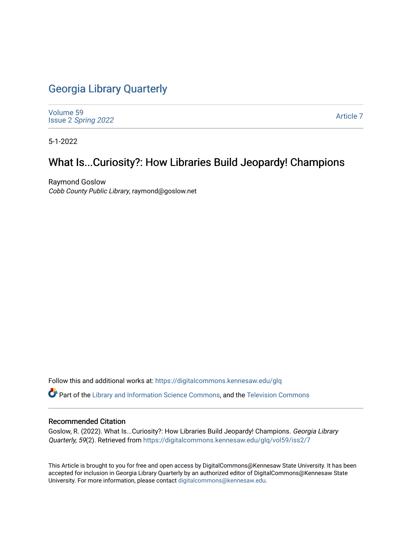## [Georgia Library Quarterly](https://digitalcommons.kennesaw.edu/glq)

[Volume 59](https://digitalcommons.kennesaw.edu/glq/vol59) Issue 2 [Spring 2022](https://digitalcommons.kennesaw.edu/glq/vol59/iss2) 

[Article 7](https://digitalcommons.kennesaw.edu/glq/vol59/iss2/7) 

5-1-2022

# What Is...Curiosity?: How Libraries Build Jeopardy! Champions

Raymond Goslow Cobb County Public Library, raymond@goslow.net

Follow this and additional works at: [https://digitalcommons.kennesaw.edu/glq](https://digitalcommons.kennesaw.edu/glq?utm_source=digitalcommons.kennesaw.edu%2Fglq%2Fvol59%2Fiss2%2F7&utm_medium=PDF&utm_campaign=PDFCoverPages) 

Part of the [Library and Information Science Commons,](http://network.bepress.com/hgg/discipline/1018?utm_source=digitalcommons.kennesaw.edu%2Fglq%2Fvol59%2Fiss2%2F7&utm_medium=PDF&utm_campaign=PDFCoverPages) and the [Television Commons](http://network.bepress.com/hgg/discipline/1143?utm_source=digitalcommons.kennesaw.edu%2Fglq%2Fvol59%2Fiss2%2F7&utm_medium=PDF&utm_campaign=PDFCoverPages)

#### Recommended Citation

Goslow, R. (2022). What Is...Curiosity?: How Libraries Build Jeopardy! Champions. Georgia Library Quarterly, 59(2). Retrieved from [https://digitalcommons.kennesaw.edu/glq/vol59/iss2/7](https://digitalcommons.kennesaw.edu/glq/vol59/iss2/7?utm_source=digitalcommons.kennesaw.edu%2Fglq%2Fvol59%2Fiss2%2F7&utm_medium=PDF&utm_campaign=PDFCoverPages) 

This Article is brought to you for free and open access by DigitalCommons@Kennesaw State University. It has been accepted for inclusion in Georgia Library Quarterly by an authorized editor of DigitalCommons@Kennesaw State University. For more information, please contact [digitalcommons@kennesaw.edu.](mailto:digitalcommons@kennesaw.edu)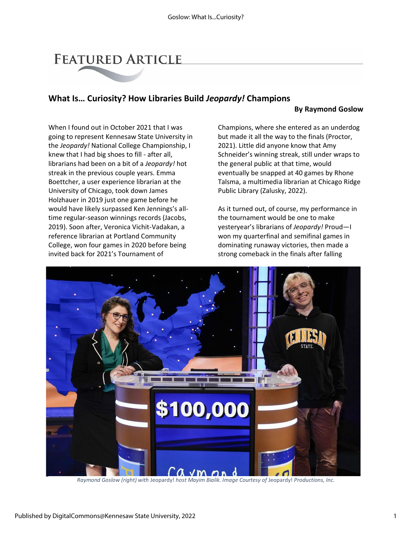# **FEATURED ARTICLE**

## **What Is… Curiosity? How Libraries Build** *Jeopardy!* **Champions**

### **By Raymond Goslow**

When I found out in October 2021 that I was going to represent Kennesaw State University in the *Jeopardy!* National College Championship, I knew that I had big shoes to fill - after all, librarians had been on a bit of a *Jeopardy!* hot streak in the previous couple years. Emma Boettcher, a user experience librarian at the University of Chicago, took down James Holzhauer in 2019 just one game before he would have likely surpassed Ken Jennings's alltime regular-season winnings records (Jacobs, 2019). Soon after, Veronica Vichit-Vadakan, a reference librarian at Portland Community College, won four games in 2020 before being invited back for 2021's Tournament of

Champions, where she entered as an underdog but made it all the way to the finals (Proctor, 2021). Little did anyone know that Amy Schneider's winning streak, still under wraps to the general public at that time, would eventually be snapped at 40 games by Rhone Talsma, a multimedia librarian at Chicago Ridge Public Library (Zalusky, 2022).

As it turned out, of course, my performance in the tournament would be one to make yesteryear's librarians of *Jeopardy!* Proud—I won my quarterfinal and semifinal games in dominating runaway victories, then made a strong comeback in the finals after falling



*Raymond Goslow (right) with* Jeopardy! *host Mayim Bialik. Image Courtesy of* Jeopardy! *Productions, Inc.*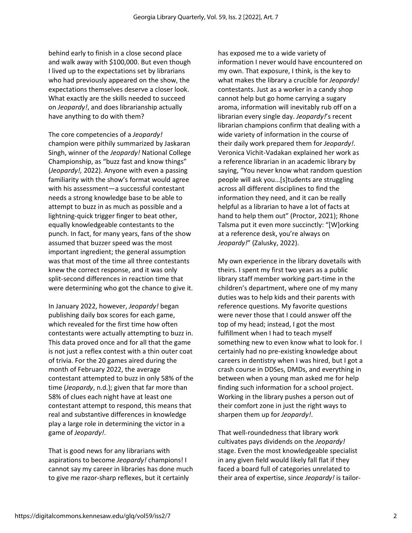behind early to finish in a close second place and walk away with \$100,000. But even though I lived up to the expectations set by librarians who had previously appeared on the show, the expectations themselves deserve a closer look. What exactly are the skills needed to succeed on *Jeopardy!*, and does librarianship actually have anything to do with them?

The core competencies of a *Jeopardy!* champion were pithily summarized by Jaskaran Singh, winner of the *Jeopardy!* National College Championship, as "buzz fast and know things" (*Jeopardy!,* 2022). Anyone with even a passing familiarity with the show's format would agree with his assessment—a successful contestant needs a strong knowledge base to be able to attempt to buzz in as much as possible and a lightning-quick trigger finger to beat other, equally knowledgeable contestants to the punch. In fact, for many years, fans of the show assumed that buzzer speed was the most important ingredient; the general assumption was that most of the time all three contestants knew the correct response, and it was only split-second differences in reaction time that were determining who got the chance to give it.

In January 2022, however, *Jeopardy!* began publishing daily box scores for each game, which revealed for the first time how often contestants were actually attempting to buzz in. This data proved once and for all that the game is not just a reflex contest with a thin outer coat of trivia. For the 20 games aired during the month of February 2022, the average contestant attempted to buzz in only 58% of the time (*Jeopardy*, n.d.); given that far more than 58% of clues each night have at least one contestant attempt to respond, this means that real and substantive differences in knowledge play a large role in determining the victor in a game of *Jeopardy!*.

That is good news for any librarians with aspirations to become *Jeopardy!* champions! I cannot say my career in libraries has done much to give me razor-sharp reflexes, but it certainly

has exposed me to a wide variety of information I never would have encountered on my own. That exposure, I think, is the key to what makes the library a crucible for *Jeopardy!* contestants. Just as a worker in a candy shop cannot help but go home carrying a sugary aroma, information will inevitably rub off on a librarian every single day. *Jeopardy!*'s recent librarian champions confirm that dealing with a wide variety of information in the course of their daily work prepared them for *Jeopardy!*. Veronica Vichit-Vadakan explained her work as a reference librarian in an academic library by saying, "You never know what random question people will ask you…[s]tudents are struggling across all different disciplines to find the information they need, and it can be really helpful as a librarian to have a lot of facts at hand to help them out" (Proctor, 2021); Rhone Talsma put it even more succinctly: "[W]orking at a reference desk, you're always on *Jeopardy!*" (Zalusky, 2022).

My own experience in the library dovetails with theirs. I spent my first two years as a public library staff member working part-time in the children's department, where one of my many duties was to help kids and their parents with reference questions. My favorite questions were never those that I could answer off the top of my head; instead, I got the most fulfillment when I had to teach myself something new to even know what to look for. I certainly had no pre-existing knowledge about careers in dentistry when I was hired, but I got a crash course in DDSes, DMDs, and everything in between when a young man asked me for help finding such information for a school project. Working in the library pushes a person out of their comfort zone in just the right ways to sharpen them up for *Jeopardy!*.

That well-roundedness that library work cultivates pays dividends on the *Jeopardy!* stage. Even the most knowledgeable specialist in any given field would likely fall flat if they faced a board full of categories unrelated to their area of expertise, since *Jeopardy!* is tailor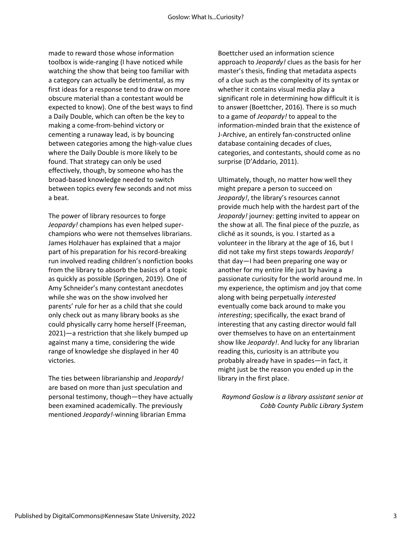made to reward those whose information toolbox is wide-ranging (I have noticed while watching the show that being too familiar with a category can actually be detrimental, as my first ideas for a response tend to draw on more obscure material than a contestant would be expected to know). One of the best ways to find a Daily Double, which can often be the key to making a come-from-behind victory or cementing a runaway lead, is by bouncing between categories among the high-value clues where the Daily Double is more likely to be found. That strategy can only be used effectively, though, by someone who has the broad-based knowledge needed to switch between topics every few seconds and not miss a beat.

The power of library resources to forge *Jeopardy!* champions has even helped superchampions who were not themselves librarians. James Holzhauer has explained that a major part of his preparation for his record-breaking run involved reading children's nonfiction books from the library to absorb the basics of a topic as quickly as possible (Springen, 2019). One of Amy Schneider's many contestant anecdotes while she was on the show involved her parents' rule for her as a child that she could only check out as many library books as she could physically carry home herself (Freeman, 2021)—a restriction that she likely bumped up against many a time, considering the wide range of knowledge she displayed in her 40 victories.

The ties between librarianship and *Jeopardy!* are based on more than just speculation and personal testimony, though—they have actually been examined academically. The previously mentioned *Jeopardy!*-winning librarian Emma

Boettcher used an information science approach to *Jeopardy!* clues as the basis for her master's thesis, finding that metadata aspects of a clue such as the complexity of its syntax or whether it contains visual media play a significant role in determining how difficult it is to answer (Boettcher, 2016). There is so much to a game of *Jeopardy!* to appeal to the information-minded brain that the existence of J-Archive, an entirely fan-constructed online database containing decades of clues, categories, and contestants, should come as no surprise (D'Addario, 2011).

Ultimately, though, no matter how well they might prepare a person to succeed on *Jeopardy!*, the library's resources cannot provide much help with the hardest part of the *Jeopardy!* journey: getting invited to appear on the show at all. The final piece of the puzzle, as cliché as it sounds, is you. I started as a volunteer in the library at the age of 16, but I did not take my first steps towards *Jeopardy!* that day—I had been preparing one way or another for my entire life just by having a passionate curiosity for the world around me. In my experience, the optimism and joy that come along with being perpetually *interested*  eventually come back around to make you *interesting*; specifically, the exact brand of interesting that any casting director would fall over themselves to have on an entertainment show like *Jeopardy!*. And lucky for any librarian reading this, curiosity is an attribute you probably already have in spades—in fact, it might just be the reason you ended up in the library in the first place.

*Raymond Goslow is a library assistant senior at Cobb County Public Library System*